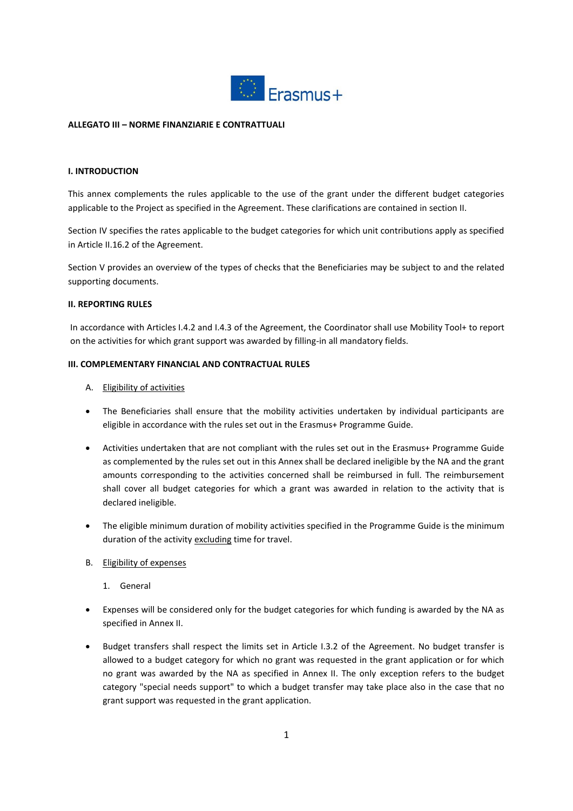

#### **ALLEGATO III – NORME FINANZIARIE E CONTRATTUALI**

#### **I. INTRODUCTION**

This annex complements the rules applicable to the use of the grant under the different budget categories applicable to the Project as specified in the Agreement. These clarifications are contained in section II.

Section IV specifies the rates applicable to the budget categories for which unit contributions apply as specified in Article II.16.2 of the Agreement.

Section V provides an overview of the types of checks that the Beneficiaries may be subject to and the related supporting documents.

#### **II. REPORTING RULES**

In accordance with Articles I.4.2 and I.4.3 of the Agreement, the Coordinator shall use Mobility Tool+ to report on the activities for which grant support was awarded by filling-in all mandatory fields.

#### **III. COMPLEMENTARY FINANCIAL AND CONTRACTUAL RULES**

- A. Eligibility of activities
- The Beneficiaries shall ensure that the mobility activities undertaken by individual participants are eligible in accordance with the rules set out in the Erasmus+ Programme Guide.
- Activities undertaken that are not compliant with the rules set out in the Erasmus+ Programme Guide as complemented by the rules set out in this Annex shall be declared ineligible by the NA and the grant amounts corresponding to the activities concerned shall be reimbursed in full. The reimbursement shall cover all budget categories for which a grant was awarded in relation to the activity that is declared ineligible.
- The eligible minimum duration of mobility activities specified in the Programme Guide is the minimum duration of the activity excluding time for travel.
- B. Eligibility of expenses
	- 1. General
- Expenses will be considered only for the budget categories for which funding is awarded by the NA as specified in Annex II.
- Budget transfers shall respect the limits set in Article I.3.2 of the Agreement. No budget transfer is allowed to a budget category for which no grant was requested in the grant application or for which no grant was awarded by the NA as specified in Annex II. The only exception refers to the budget category "special needs support" to which a budget transfer may take place also in the case that no grant support was requested in the grant application.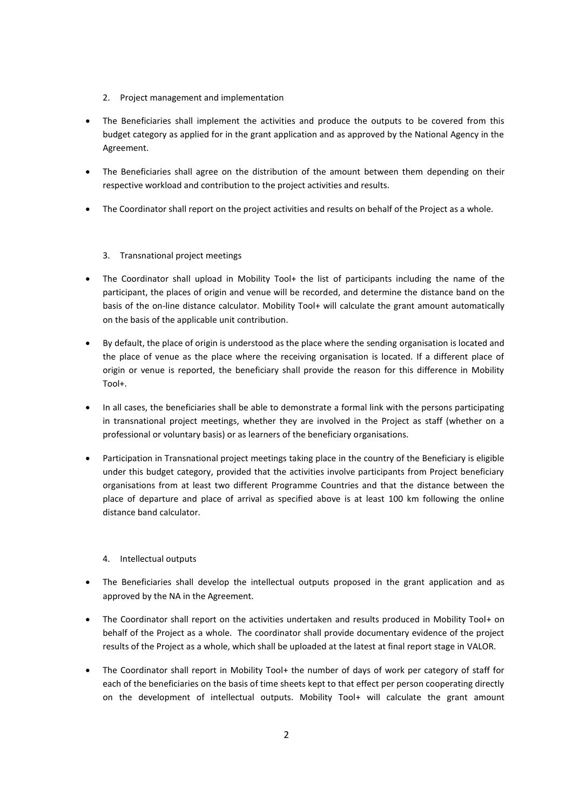- 2. Project management and implementation
- The Beneficiaries shall implement the activities and produce the outputs to be covered from this budget category as applied for in the grant application and as approved by the National Agency in the Agreement.
- The Beneficiaries shall agree on the distribution of the amount between them depending on their respective workload and contribution to the project activities and results.
- The Coordinator shall report on the project activities and results on behalf of the Project as a whole.

## 3. Transnational project meetings

- The Coordinator shall upload in Mobility Tool+ the list of participants including the name of the participant, the places of origin and venue will be recorded, and determine the distance band on the basis of the on-line distance calculator. Mobility Tool+ will calculate the grant amount automatically on the basis of the applicable unit contribution.
- By default, the place of origin is understood as the place where the sending organisation is located and the place of venue as the place where the receiving organisation is located. If a different place of origin or venue is reported, the beneficiary shall provide the reason for this difference in Mobility Tool+.
- In all cases, the beneficiaries shall be able to demonstrate a formal link with the persons participating in transnational project meetings, whether they are involved in the Project as staff (whether on a professional or voluntary basis) or as learners of the beneficiary organisations.
- Participation in Transnational project meetings taking place in the country of the Beneficiary is eligible under this budget category, provided that the activities involve participants from Project beneficiary organisations from at least two different Programme Countries and that the distance between the place of departure and place of arrival as specified above is at least 100 km following the online distance band calculator.

#### 4. Intellectual outputs

- The Beneficiaries shall develop the intellectual outputs proposed in the grant application and as approved by the NA in the Agreement.
- The Coordinator shall report on the activities undertaken and results produced in Mobility Tool+ on behalf of the Project as a whole. The coordinator shall provide documentary evidence of the project results of the Project as a whole, which shall be uploaded at the latest at final report stage in VALOR.
- The Coordinator shall report in Mobility Tool+ the number of days of work per category of staff for each of the beneficiaries on the basis of time sheets kept to that effect per person cooperating directly on the development of intellectual outputs. Mobility Tool+ will calculate the grant amount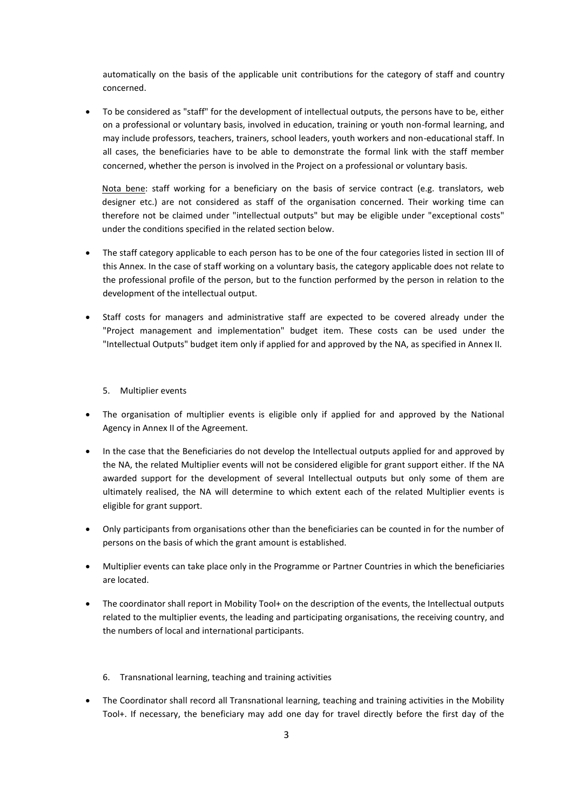automatically on the basis of the applicable unit contributions for the category of staff and country concerned.

 To be considered as "staff" for the development of intellectual outputs, the persons have to be, either on a professional or voluntary basis, involved in education, training or youth non-formal learning, and may include professors, teachers, trainers, school leaders, youth workers and non-educational staff. In all cases, the beneficiaries have to be able to demonstrate the formal link with the staff member concerned, whether the person is involved in the Project on a professional or voluntary basis.

Nota bene: staff working for a beneficiary on the basis of service contract (e.g. translators, web designer etc.) are not considered as staff of the organisation concerned. Their working time can therefore not be claimed under "intellectual outputs" but may be eligible under "exceptional costs" under the conditions specified in the related section below.

- The staff category applicable to each person has to be one of the four categories listed in section III of this Annex. In the case of staff working on a voluntary basis, the category applicable does not relate to the professional profile of the person, but to the function performed by the person in relation to the development of the intellectual output.
- Staff costs for managers and administrative staff are expected to be covered already under the "Project management and implementation" budget item. These costs can be used under the "Intellectual Outputs" budget item only if applied for and approved by the NA, as specified in Annex II.

#### 5. Multiplier events

- The organisation of multiplier events is eligible only if applied for and approved by the National Agency in Annex II of the Agreement.
- In the case that the Beneficiaries do not develop the Intellectual outputs applied for and approved by the NA, the related Multiplier events will not be considered eligible for grant support either. If the NA awarded support for the development of several Intellectual outputs but only some of them are ultimately realised, the NA will determine to which extent each of the related Multiplier events is eligible for grant support.
- Only participants from organisations other than the beneficiaries can be counted in for the number of persons on the basis of which the grant amount is established.
- Multiplier events can take place only in the Programme or Partner Countries in which the beneficiaries are located.
- The coordinator shall report in Mobility Tool+ on the description of the events, the Intellectual outputs related to the multiplier events, the leading and participating organisations, the receiving country, and the numbers of local and international participants.
	- 6. Transnational learning, teaching and training activities
- The Coordinator shall record all Transnational learning, teaching and training activities in the Mobility Tool+. If necessary, the beneficiary may add one day for travel directly before the first day of the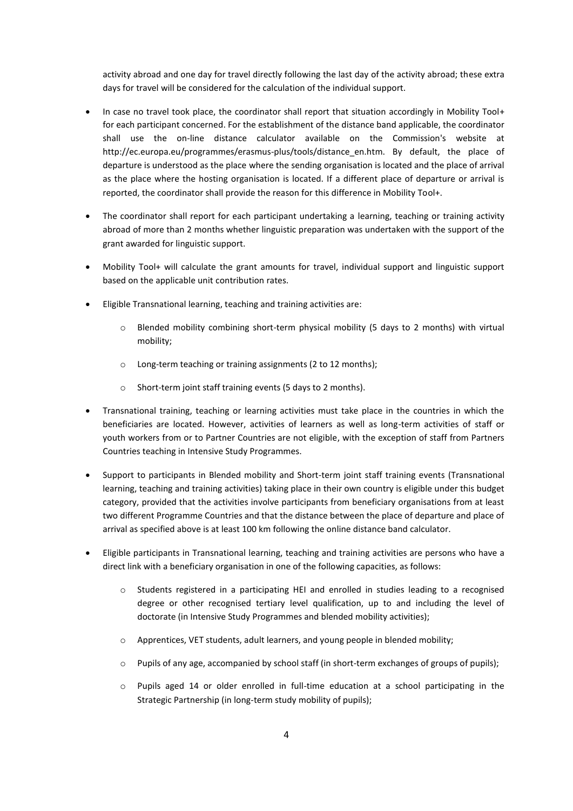activity abroad and one day for travel directly following the last day of the activity abroad; these extra days for travel will be considered for the calculation of the individual support.

- In case no travel took place, the coordinator shall report that situation accordingly in Mobility Tool+ for each participant concerned. For the establishment of the distance band applicable, the coordinator shall use the on-line distance calculator available on the Commission's website at http://ec.europa.eu/programmes/erasmus-plus/tools/distance\_en.htm. By default, the place of departure is understood as the place where the sending organisation is located and the place of arrival as the place where the hosting organisation is located. If a different place of departure or arrival is reported, the coordinator shall provide the reason for this difference in Mobility Tool+.
- The coordinator shall report for each participant undertaking a learning, teaching or training activity abroad of more than 2 months whether linguistic preparation was undertaken with the support of the grant awarded for linguistic support.
- Mobility Tool+ will calculate the grant amounts for travel, individual support and linguistic support based on the applicable unit contribution rates.
- Eligible Transnational learning, teaching and training activities are:
	- o Blended mobility combining short-term physical mobility (5 days to 2 months) with virtual mobility;
	- o Long-term teaching or training assignments (2 to 12 months);
	- o Short-term joint staff training events (5 days to 2 months).
- Transnational training, teaching or learning activities must take place in the countries in which the beneficiaries are located. However, activities of learners as well as long-term activities of staff or youth workers from or to Partner Countries are not eligible, with the exception of staff from Partners Countries teaching in Intensive Study Programmes.
- Support to participants in Blended mobility and Short-term joint staff training events (Transnational learning, teaching and training activities) taking place in their own country is eligible under this budget category, provided that the activities involve participants from beneficiary organisations from at least two different Programme Countries and that the distance between the place of departure and place of arrival as specified above is at least 100 km following the online distance band calculator.
- Eligible participants in Transnational learning, teaching and training activities are persons who have a direct link with a beneficiary organisation in one of the following capacities, as follows:
	- o Students registered in a participating HEI and enrolled in studies leading to a recognised degree or other recognised tertiary level qualification, up to and including the level of doctorate (in Intensive Study Programmes and blended mobility activities);
	- o Apprentices, VET students, adult learners, and young people in blended mobility;
	- o Pupils of any age, accompanied by school staff (in short-term exchanges of groups of pupils);
	- $\circ$  Pupils aged 14 or older enrolled in full-time education at a school participating in the Strategic Partnership (in long-term study mobility of pupils);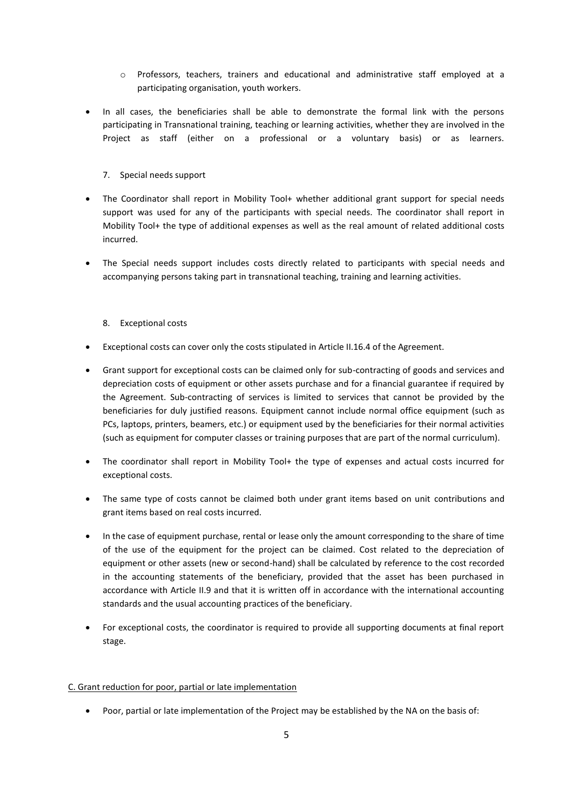- o Professors, teachers, trainers and educational and administrative staff employed at a participating organisation, youth workers.
- In all cases, the beneficiaries shall be able to demonstrate the formal link with the persons participating in Transnational training, teaching or learning activities, whether they are involved in the Project as staff (either on a professional or a voluntary basis) or as learners.

### 7. Special needs support

- The Coordinator shall report in Mobility Tool+ whether additional grant support for special needs support was used for any of the participants with special needs. The coordinator shall report in Mobility Tool+ the type of additional expenses as well as the real amount of related additional costs incurred.
- The Special needs support includes costs directly related to participants with special needs and accompanying persons taking part in transnational teaching, training and learning activities.

#### 8. Exceptional costs

- Exceptional costs can cover only the costs stipulated in Article II.16.4 of the Agreement.
- Grant support for exceptional costs can be claimed only for sub-contracting of goods and services and depreciation costs of equipment or other assets purchase and for a financial guarantee if required by the Agreement. Sub-contracting of services is limited to services that cannot be provided by the beneficiaries for duly justified reasons. Equipment cannot include normal office equipment (such as PCs, laptops, printers, beamers, etc.) or equipment used by the beneficiaries for their normal activities (such as equipment for computer classes or training purposes that are part of the normal curriculum).
- The coordinator shall report in Mobility Tool+ the type of expenses and actual costs incurred for exceptional costs.
- The same type of costs cannot be claimed both under grant items based on unit contributions and grant items based on real costs incurred.
- In the case of equipment purchase, rental or lease only the amount corresponding to the share of time of the use of the equipment for the project can be claimed. Cost related to the depreciation of equipment or other assets (new or second-hand) shall be calculated by reference to the cost recorded in the accounting statements of the beneficiary, provided that the asset has been purchased in accordance with Article II.9 and that it is written off in accordance with the international accounting standards and the usual accounting practices of the beneficiary.
- For exceptional costs, the coordinator is required to provide all supporting documents at final report stage.

#### C. Grant reduction for poor, partial or late implementation

Poor, partial or late implementation of the Project may be established by the NA on the basis of: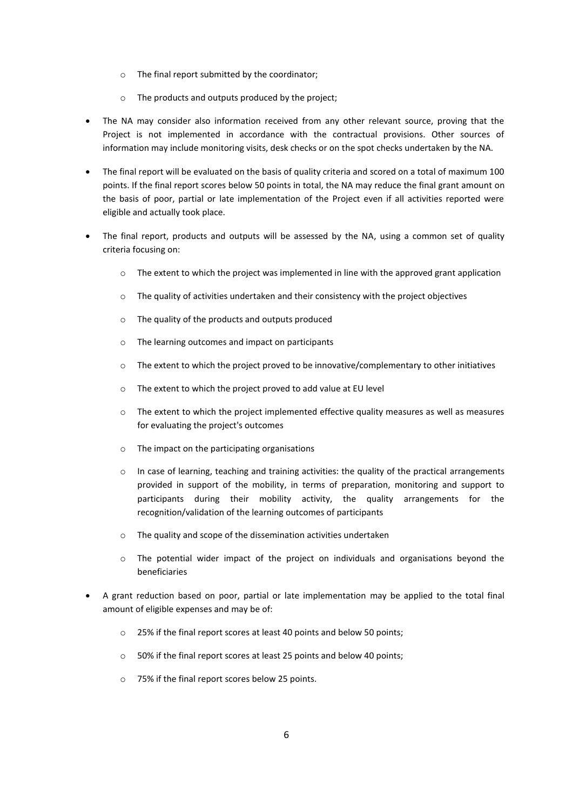- o The final report submitted by the coordinator;
- o The products and outputs produced by the project;
- The NA may consider also information received from any other relevant source, proving that the Project is not implemented in accordance with the contractual provisions. Other sources of information may include monitoring visits, desk checks or on the spot checks undertaken by the NA.
- The final report will be evaluated on the basis of quality criteria and scored on a total of maximum 100 points. If the final report scores below 50 points in total, the NA may reduce the final grant amount on the basis of poor, partial or late implementation of the Project even if all activities reported were eligible and actually took place.
- The final report, products and outputs will be assessed by the NA, using a common set of quality criteria focusing on:
	- $\circ$  The extent to which the project was implemented in line with the approved grant application
	- $\circ$  The quality of activities undertaken and their consistency with the project objectives
	- o The quality of the products and outputs produced
	- o The learning outcomes and impact on participants
	- $\circ$  The extent to which the project proved to be innovative/complementary to other initiatives
	- o The extent to which the project proved to add value at EU level
	- o The extent to which the project implemented effective quality measures as well as measures for evaluating the project's outcomes
	- o The impact on the participating organisations
	- o In case of learning, teaching and training activities: the quality of the practical arrangements provided in support of the mobility, in terms of preparation, monitoring and support to participants during their mobility activity, the quality arrangements for the recognition/validation of the learning outcomes of participants
	- o The quality and scope of the dissemination activities undertaken
	- o The potential wider impact of the project on individuals and organisations beyond the beneficiaries
- A grant reduction based on poor, partial or late implementation may be applied to the total final amount of eligible expenses and may be of:
	- o 25% if the final report scores at least 40 points and below 50 points;
	- o 50% if the final report scores at least 25 points and below 40 points;
	- o 75% if the final report scores below 25 points.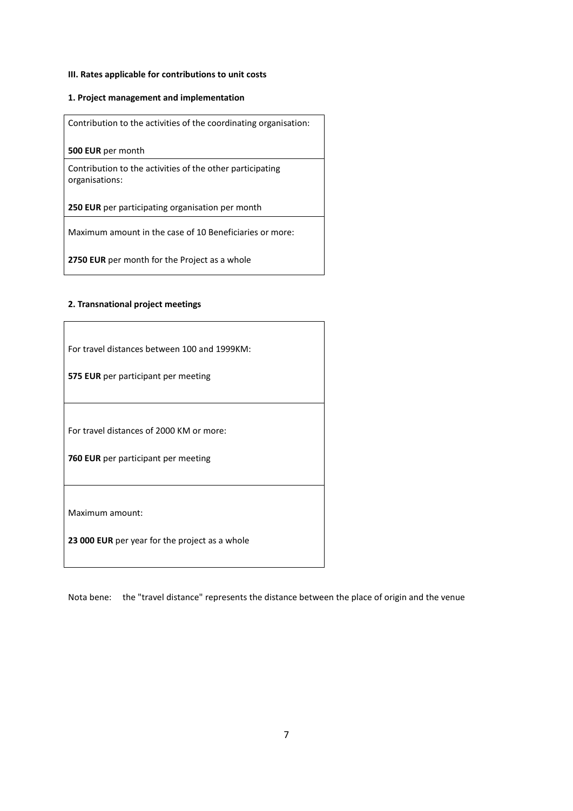## **III. Rates applicable for contributions to unit costs**

#### **1. Project management and implementation**

Contribution to the activities of the coordinating organisation:

**500 EUR** per month

Contribution to the activities of the other participating organisations:

**250 EUR** per participating organisation per month

Maximum amount in the case of 10 Beneficiaries or more:

**2750 EUR** per month for the Project as a whole

#### **2. Transnational project meetings**

| For travel distances between 100 and 1999KM:   |  |  |  |  |
|------------------------------------------------|--|--|--|--|
| 575 EUR per participant per meeting            |  |  |  |  |
|                                                |  |  |  |  |
| For travel distances of 2000 KM or more:       |  |  |  |  |
| 760 EUR per participant per meeting            |  |  |  |  |
|                                                |  |  |  |  |
| Maximum amount:                                |  |  |  |  |
| 23 000 EUR per year for the project as a whole |  |  |  |  |

Nota bene: the "travel distance" represents the distance between the place of origin and the venue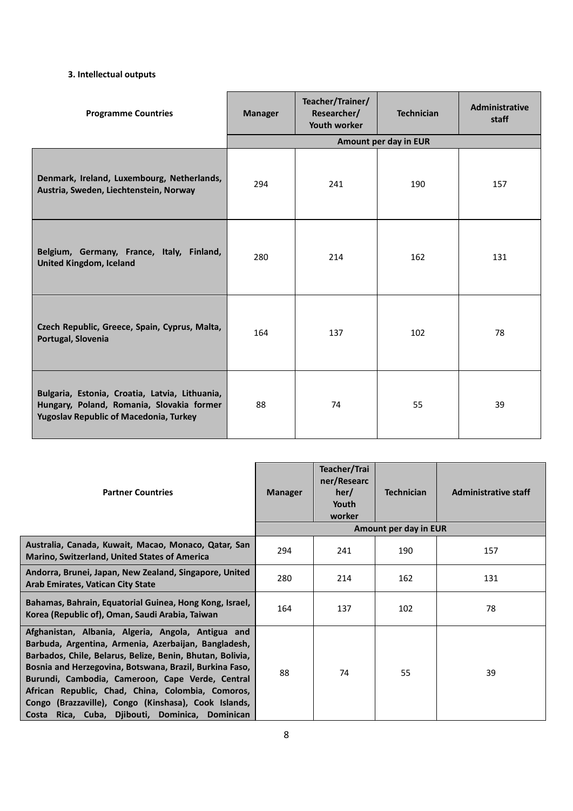## **3. Intellectual outputs**

| <b>Programme Countries</b>                                                                                                            | <b>Manager</b> | Teacher/Trainer/<br>Researcher/<br>Youth worker | <b>Technician</b>     | <b>Administrative</b><br>staff |
|---------------------------------------------------------------------------------------------------------------------------------------|----------------|-------------------------------------------------|-----------------------|--------------------------------|
|                                                                                                                                       |                |                                                 | Amount per day in EUR |                                |
| Denmark, Ireland, Luxembourg, Netherlands,<br>Austria, Sweden, Liechtenstein, Norway                                                  | 294            | 241                                             | 190                   | 157                            |
| Belgium, Germany, France, Italy, Finland,<br><b>United Kingdom, Iceland</b>                                                           | 280            | 214                                             | 162                   | 131                            |
| Czech Republic, Greece, Spain, Cyprus, Malta,<br>Portugal, Slovenia                                                                   | 164            | 137                                             | 102                   | 78                             |
| Bulgaria, Estonia, Croatia, Latvia, Lithuania,<br>Hungary, Poland, Romania, Slovakia former<br>Yugoslav Republic of Macedonia, Turkey | 88             | 74                                              | 55                    | 39                             |

| <b>Partner Countries</b>                                                                                                                                                                                                                                                                                                                                                                                                                                  | <b>Manager</b> | Teacher/Trai<br>ner/Researc<br>her/<br>Youth<br>worker | <b>Technician</b>            | <b>Administrative staff</b> |
|-----------------------------------------------------------------------------------------------------------------------------------------------------------------------------------------------------------------------------------------------------------------------------------------------------------------------------------------------------------------------------------------------------------------------------------------------------------|----------------|--------------------------------------------------------|------------------------------|-----------------------------|
| Australia, Canada, Kuwait, Macao, Monaco, Qatar, San<br><b>Marino, Switzerland, United States of America</b>                                                                                                                                                                                                                                                                                                                                              | 294            | 241                                                    | Amount per day in EUR<br>190 | 157                         |
| Andorra, Brunei, Japan, New Zealand, Singapore, United<br><b>Arab Emirates, Vatican City State</b>                                                                                                                                                                                                                                                                                                                                                        | 280            | 214                                                    | 162                          | 131                         |
| Bahamas, Bahrain, Equatorial Guinea, Hong Kong, Israel,<br>Korea (Republic of), Oman, Saudi Arabia, Taiwan                                                                                                                                                                                                                                                                                                                                                | 164            | 137                                                    | 102                          | 78                          |
| Afghanistan, Albania, Algeria, Angola, Antigua and<br>Barbuda, Argentina, Armenia, Azerbaijan, Bangladesh,<br>Barbados, Chile, Belarus, Belize, Benin, Bhutan, Bolivia,<br>Bosnia and Herzegovina, Botswana, Brazil, Burkina Faso,<br>Burundi, Cambodia, Cameroon, Cape Verde, Central<br>African Republic, Chad, China, Colombia, Comoros,<br>Congo (Brazzaville), Congo (Kinshasa), Cook Islands,<br>Rica, Cuba, Djibouti, Dominica, Dominican<br>Costa | 88             | 74                                                     | 55                           | 39                          |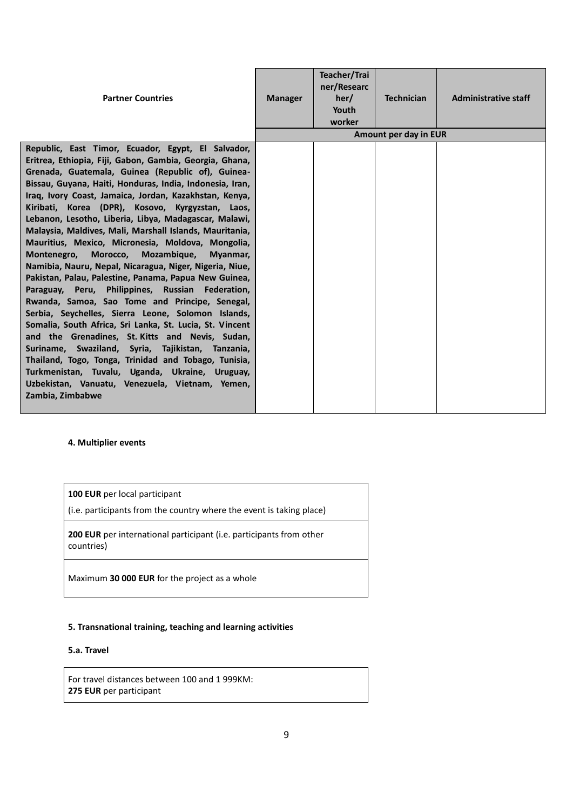| <b>Partner Countries</b>                                                                                                                                                                                                                                                                                                                                                                                                                                                                                                                                                                                                                                                                                                                                                                                                                                                                                                                                                                                                                                                                                                                                                                                          | <b>Manager</b> | Teacher/Trai<br>ner/Researc<br>her/<br>Youth<br>worker | <b>Technician</b><br>Amount per day in EUR | <b>Administrative staff</b> |
|-------------------------------------------------------------------------------------------------------------------------------------------------------------------------------------------------------------------------------------------------------------------------------------------------------------------------------------------------------------------------------------------------------------------------------------------------------------------------------------------------------------------------------------------------------------------------------------------------------------------------------------------------------------------------------------------------------------------------------------------------------------------------------------------------------------------------------------------------------------------------------------------------------------------------------------------------------------------------------------------------------------------------------------------------------------------------------------------------------------------------------------------------------------------------------------------------------------------|----------------|--------------------------------------------------------|--------------------------------------------|-----------------------------|
|                                                                                                                                                                                                                                                                                                                                                                                                                                                                                                                                                                                                                                                                                                                                                                                                                                                                                                                                                                                                                                                                                                                                                                                                                   |                |                                                        |                                            |                             |
| Republic, East Timor, Ecuador, Egypt, El Salvador,<br>Eritrea, Ethiopia, Fiji, Gabon, Gambia, Georgia, Ghana,<br>Grenada, Guatemala, Guinea (Republic of), Guinea-<br>Bissau, Guyana, Haiti, Honduras, India, Indonesia, Iran,<br>Iraq, Ivory Coast, Jamaica, Jordan, Kazakhstan, Kenya,<br>Kiribati, Korea (DPR), Kosovo, Kyrgyzstan, Laos,<br>Lebanon, Lesotho, Liberia, Libya, Madagascar, Malawi,<br>Malaysia, Maldives, Mali, Marshall Islands, Mauritania,<br>Mauritius, Mexico, Micronesia, Moldova, Mongolia,<br>Montenegro.<br>Morocco.<br>Mozambique,<br>Myanmar,<br>Namibia, Nauru, Nepal, Nicaragua, Niger, Nigeria, Niue,<br>Pakistan, Palau, Palestine, Panama, Papua New Guinea,<br>Paraguay, Peru, Philippines, Russian Federation,<br>Rwanda, Samoa, Sao Tome and Principe, Senegal,<br>Serbia, Seychelles, Sierra Leone, Solomon Islands,<br>Somalia, South Africa, Sri Lanka, St. Lucia, St. Vincent<br>and the Grenadines, St. Kitts and Nevis, Sudan,<br>Suriname, Swaziland, Syria, Tajikistan, Tanzania,<br>Thailand, Togo, Tonga, Trinidad and Tobago, Tunisia,<br>Turkmenistan, Tuvalu, Uganda, Ukraine, Uruguay,<br>Uzbekistan, Vanuatu, Venezuela, Vietnam, Yemen,<br>Zambia, Zimbabwe |                |                                                        |                                            |                             |
|                                                                                                                                                                                                                                                                                                                                                                                                                                                                                                                                                                                                                                                                                                                                                                                                                                                                                                                                                                                                                                                                                                                                                                                                                   |                |                                                        |                                            |                             |

## **4. Multiplier events**

**100 EUR** per local participant

(i.e. participants from the country where the event is taking place)

**200 EUR** per international participant (i.e. participants from other countries)

Maximum **30 000 EUR** for the project as a whole

## **5. Transnational training, teaching and learning activities**

## **5.a. Travel**

For travel distances between 100 and 1 999KM: **275 EUR** per participant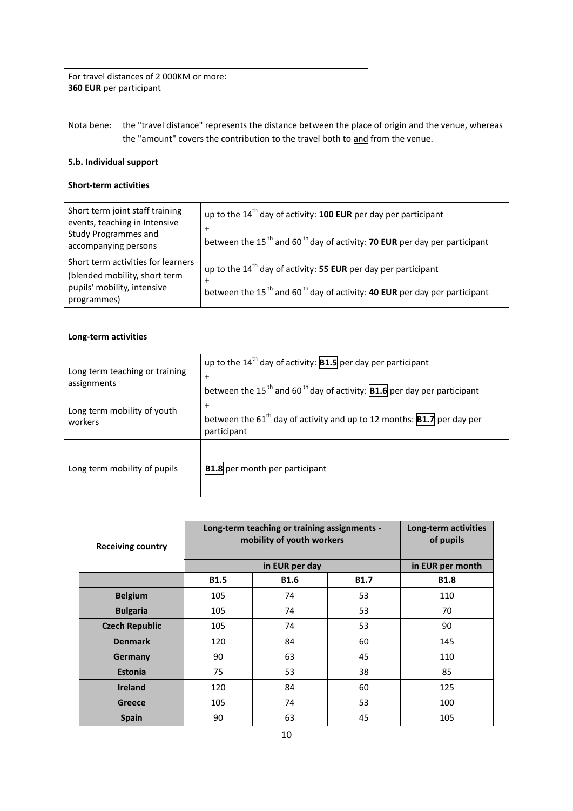For travel distances of 2 000KM or more: **360 EUR** per participant

Nota bene: the "travel distance" represents the distance between the place of origin and the venue, whereas the "amount" covers the contribution to the travel both to and from the venue.

### **5.b. Individual support**

## **Short-term activities**

| Short term joint staff training<br>events, teaching in Intensive<br><b>Study Programmes and</b><br>accompanying persons | up to the 14 <sup>th</sup> day of activity: 100 EUR per day per participant<br>$\overline{+}$<br>between the 15 <sup>th</sup> and 60 <sup>th</sup> day of activity: <b>70 EUR</b> per day per participant |
|-------------------------------------------------------------------------------------------------------------------------|-----------------------------------------------------------------------------------------------------------------------------------------------------------------------------------------------------------|
| Short term activities for learners<br>(blended mobility, short term<br>pupils' mobility, intensive<br>programmes)       | up to the $14th$ day of activity: 55 EUR per day per participant<br>$\overline{+}$<br>between the 15 <sup>th</sup> and 60 <sup>th</sup> day of activity: <b>40 EUR</b> per day per participant            |

## **Long-term activities**

| Long term teaching or training<br>assignments | up to the $14^{th}$ day of activity: <b>B1.5</b> per day per participant<br>$\ddot{}$<br>between the 15 <sup>th</sup> and 60 <sup>th</sup> day of activity: <b>B1.6</b> per day per participant |
|-----------------------------------------------|-------------------------------------------------------------------------------------------------------------------------------------------------------------------------------------------------|
| Long term mobility of youth<br>workers        | $+$<br>between the 61 <sup>th</sup> day of activity and up to 12 months: <b>B1.7</b> per day per<br>participant                                                                                 |
| Long term mobility of pupils                  | <b>B1.8</b> per month per participant                                                                                                                                                           |

| <b>Receiving country</b> | Long-term teaching or training assignments -<br>mobility of youth workers | Long-term activities<br>of pupils |             |             |  |  |
|--------------------------|---------------------------------------------------------------------------|-----------------------------------|-------------|-------------|--|--|
|                          |                                                                           | in EUR per day                    |             |             |  |  |
|                          | <b>B1.5</b>                                                               | <b>B1.6</b>                       | <b>B1.7</b> | <b>B1.8</b> |  |  |
| <b>Belgium</b>           | 105                                                                       | 74                                | 53          | 110         |  |  |
| <b>Bulgaria</b>          | 105                                                                       | 74                                | 53          | 70          |  |  |
| <b>Czech Republic</b>    | 105                                                                       | 74                                | 53          | 90          |  |  |
| <b>Denmark</b>           | 120                                                                       | 84                                | 60          | 145         |  |  |
| Germany                  | 90                                                                        | 63                                | 45          | 110         |  |  |
| <b>Estonia</b>           | 75                                                                        | 53                                | 38          | 85          |  |  |
| <b>Ireland</b>           | 120                                                                       | 84                                | 60          | 125         |  |  |
| Greece                   | 105                                                                       | 74                                | 53          | 100         |  |  |
| <b>Spain</b>             | 90                                                                        | 63                                | 45          | 105         |  |  |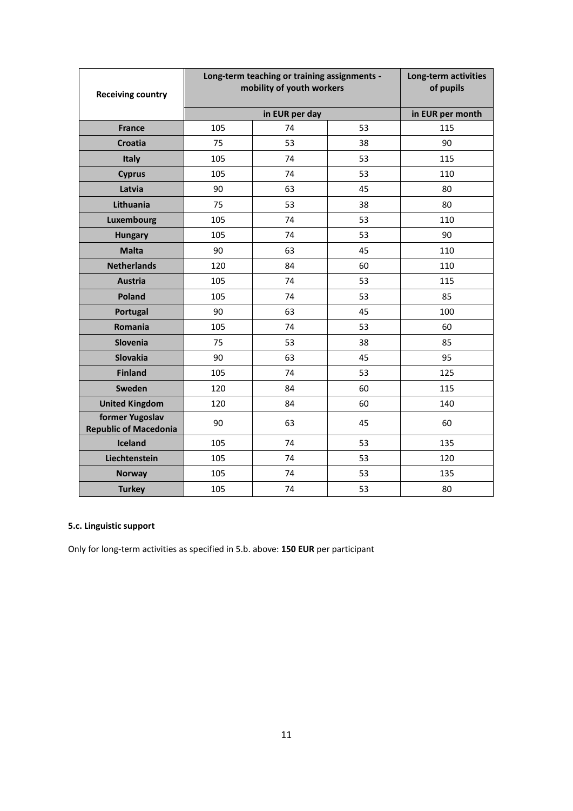| <b>Receiving country</b>                        | Long-term teaching or training assignments -<br>mobility of youth workers | Long-term activities<br>of pupils |    |     |  |  |
|-------------------------------------------------|---------------------------------------------------------------------------|-----------------------------------|----|-----|--|--|
|                                                 |                                                                           | in EUR per day                    |    |     |  |  |
| <b>France</b>                                   | 105                                                                       | 115                               |    |     |  |  |
| Croatia                                         | 75                                                                        | 53                                | 38 | 90  |  |  |
| Italy                                           | 105                                                                       | 74                                | 53 | 115 |  |  |
| <b>Cyprus</b>                                   | 105                                                                       | 74                                | 53 | 110 |  |  |
| Latvia                                          | 90                                                                        | 63                                | 45 | 80  |  |  |
| Lithuania                                       | 75                                                                        | 53                                | 38 | 80  |  |  |
| Luxembourg                                      | 105                                                                       | 74                                | 53 | 110 |  |  |
| <b>Hungary</b>                                  | 105                                                                       | 74                                | 53 | 90  |  |  |
| <b>Malta</b>                                    | 90                                                                        | 63                                | 45 | 110 |  |  |
| <b>Netherlands</b>                              | 120                                                                       | 84                                | 60 | 110 |  |  |
| <b>Austria</b>                                  | 105                                                                       | 74                                | 53 | 115 |  |  |
| Poland                                          | 105                                                                       | 74                                | 53 | 85  |  |  |
| Portugal                                        | 90                                                                        | 63                                | 45 | 100 |  |  |
| Romania                                         | 105                                                                       | 74                                | 53 | 60  |  |  |
| Slovenia                                        | 75                                                                        | 53                                | 38 | 85  |  |  |
| <b>Slovakia</b>                                 | 90                                                                        | 63                                | 45 | 95  |  |  |
| <b>Finland</b>                                  | 105                                                                       | 74                                | 53 | 125 |  |  |
| Sweden                                          | 120                                                                       | 84                                | 60 | 115 |  |  |
| <b>United Kingdom</b>                           | 120                                                                       | 84                                | 60 | 140 |  |  |
| former Yugoslav<br><b>Republic of Macedonia</b> | 90                                                                        | 63                                | 45 | 60  |  |  |
| Iceland                                         | 105                                                                       | 74                                | 53 | 135 |  |  |
| Liechtenstein                                   | 105                                                                       | 74                                | 53 | 120 |  |  |
| <b>Norway</b>                                   | 105                                                                       | 74                                | 53 | 135 |  |  |
| <b>Turkey</b>                                   | 105                                                                       | 74                                | 53 | 80  |  |  |

# **5.c. Linguistic support**

Only for long-term activities as specified in 5.b. above: **150 EUR** per participant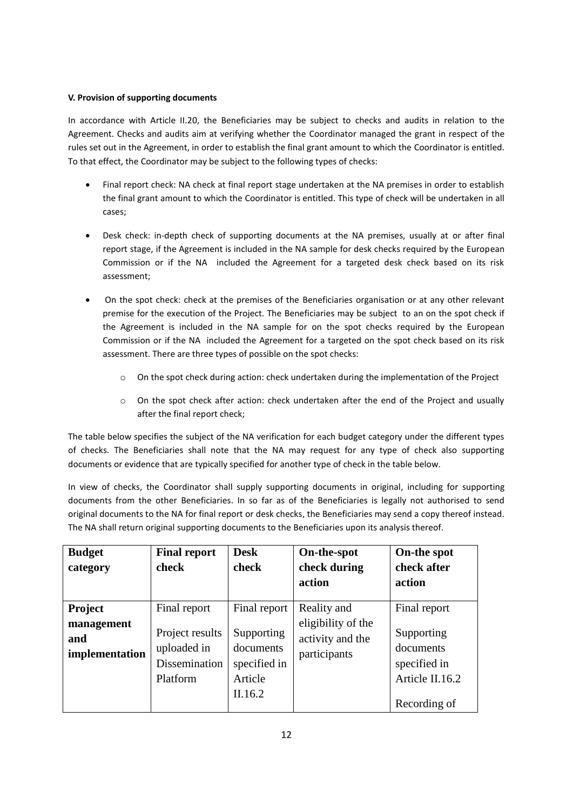#### **V. Provision of supporting documents**

In accordance with Article II.20, the Beneficiaries may be subject to checks and audits in relation to the Agreement. Checks and audits aim at verifying whether the Coordinator managed the grant in respect of the rules set out in the Agreement, in order to establish the final grant amount to which the Coordinator is entitled. To that effect, the Coordinator may be subject to the following types of checks:

- Final report check: NA check at final report stage undertaken at the NA premises in order to establish the final grant amount to which the Coordinator is entitled. This type of check will be undertaken in all cases;
- Desk check: in-depth check of supporting documents at the NA premises, usually at or after final report stage, if the Agreement is included in the NA sample for desk checks required by the European Commission or if the NA included the Agreement for a targeted desk check based on its risk assessment;
- On the spot check: check at the premises of the Beneficiaries organisation or at any other relevant premise for the execution of the Project. The Beneficiaries may be subject to an on the spot check if the Agreement is included in the NA sample for on the spot checks required by the European Commission or if the NA included the Agreement for a targeted on the spot check based on its risk assessment. There are three types of possible on the spot checks:
	- o On the spot check during action: check undertaken during the implementation of the Project
	- o On the spot check after action: check undertaken after the end of the Project and usually after the final report check;

The table below specifies the subject of the NA verification for each budget category under the different types of checks. The Beneficiaries shall note that the NA may request for any type of check also supporting documents or evidence that are typically specified for another type of check in the table below.

In view of checks, the Coordinator shall supply supporting documents in original, including for supporting documents from the other Beneficiaries. In so far as of the Beneficiaries is legally not authorised to send original documents to the NA for final report or desk checks, the Beneficiaries may send a copy thereof instead. The NA shall return original supporting documents to the Beneficiaries upon its analysis thereof.

| <b>Budget</b><br>category                      | <b>Final report</b><br>check                                                | <b>Desk</b><br>check                                                          | On-the-spot<br>check during<br>action                                 | On-the spot<br>check after<br>action                                                       |
|------------------------------------------------|-----------------------------------------------------------------------------|-------------------------------------------------------------------------------|-----------------------------------------------------------------------|--------------------------------------------------------------------------------------------|
| Project<br>management<br>and<br>implementation | Final report<br>Project results<br>uploaded in<br>Dissemination<br>Platform | Final report<br>Supporting<br>documents<br>specified in<br>Article<br>II.16.2 | Reality and<br>eligibility of the<br>activity and the<br>participants | Final report<br>Supporting<br>documents<br>specified in<br>Article II.16.2<br>Recording of |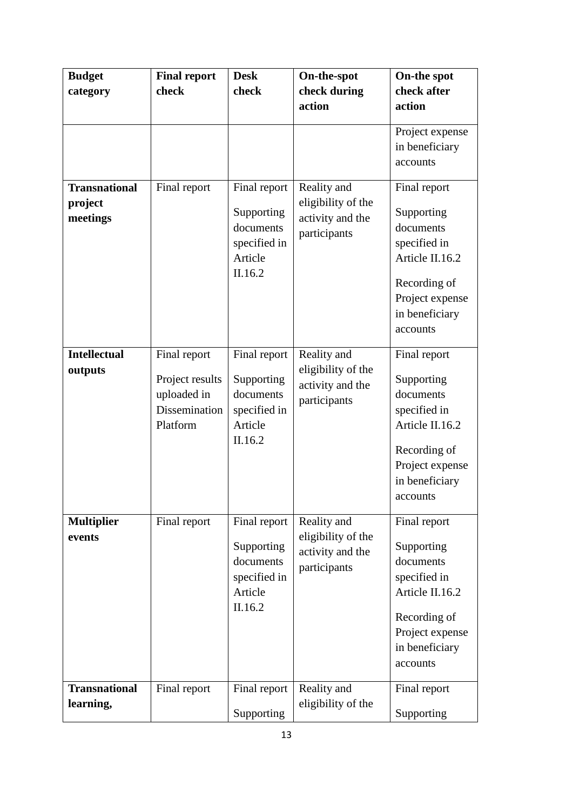| <b>Budget</b>                               | <b>Final report</b>                                                         | <b>Desk</b>                                                                   | On-the-spot                                                           | On-the spot                                                                                                                                 |
|---------------------------------------------|-----------------------------------------------------------------------------|-------------------------------------------------------------------------------|-----------------------------------------------------------------------|---------------------------------------------------------------------------------------------------------------------------------------------|
| category                                    | check                                                                       | check                                                                         | check during                                                          | check after                                                                                                                                 |
|                                             |                                                                             |                                                                               | action                                                                | action                                                                                                                                      |
| <b>Transnational</b><br>project<br>meetings | Final report                                                                | Final report<br>Supporting<br>documents                                       | Reality and<br>eligibility of the<br>activity and the<br>participants | Project expense<br>in beneficiary<br>accounts<br>Final report<br>Supporting<br>documents                                                    |
|                                             |                                                                             | specified in<br>Article<br>II.16.2                                            |                                                                       | specified in<br>Article II.16.2<br>Recording of<br>Project expense<br>in beneficiary<br>accounts                                            |
| <b>Intellectual</b><br>outputs              | Final report<br>Project results<br>uploaded in<br>Dissemination<br>Platform | Final report<br>Supporting<br>documents<br>specified in<br>Article<br>II.16.2 | Reality and<br>eligibility of the<br>activity and the<br>participants | Final report<br>Supporting<br>documents<br>specified in<br>Article II.16.2<br>Recording of<br>Project expense<br>in beneficiary<br>accounts |
| <b>Multiplier</b><br>events                 | Final report                                                                | Final report<br>Supporting<br>documents<br>specified in<br>Article<br>II.16.2 | Reality and<br>eligibility of the<br>activity and the<br>participants | Final report<br>Supporting<br>documents<br>specified in<br>Article II.16.2<br>Recording of<br>Project expense<br>in beneficiary<br>accounts |
| <b>Transnational</b><br>learning,           | Final report                                                                | Final report<br>Supporting                                                    | Reality and<br>eligibility of the                                     | Final report<br>Supporting                                                                                                                  |